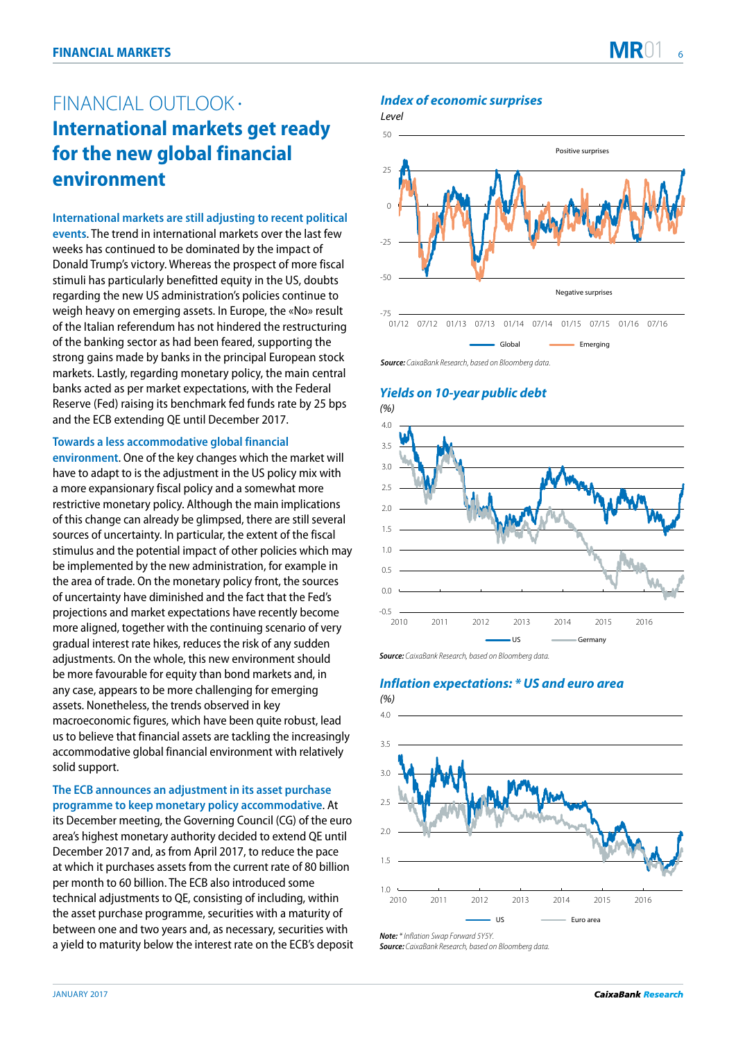# FINANCIAL OUTLOOK · **International markets get ready for the new global financial environment**

**International markets are still adjusting to recent political events**. The trend in international markets over the last few weeks has continued to be dominated by the impact of Donald Trump's victory. Whereas the prospect of more fiscal stimuli has particularly benefitted equity in the US, doubts regarding the new US administration's policies continue to weigh heavy on emerging assets. In Europe, the «No» result of the Italian referendum has not hindered the restructuring of the banking sector as had been feared, supporting the strong gains made by banks in the principal European stock markets. Lastly, regarding monetary policy, the main central banks acted as per market expectations, with the Federal Reserve (Fed) raising its benchmark fed funds rate by 25 bps and the ECB extending QE until December 2017.

### **Towards a less accommodative global financial**

**environment**. One of the key changes which the market will have to adapt to is the adjustment in the US policy mix with a more expansionary fiscal policy and a somewhat more restrictive monetary policy. Although the main implications of this change can already be glimpsed, there are still several sources of uncertainty. In particular, the extent of the fiscal stimulus and the potential impact of other policies which may be implemented by the new administration, for example in the area of trade. On the monetary policy front, the sources of uncertainty have diminished and the fact that the Fed's projections and market expectations have recently become more aligned, together with the continuing scenario of very gradual interest rate hikes, reduces the risk of any sudden adjustments. On the whole, this new environment should be more favourable for equity than bond markets and, in any case, appears to be more challenging for emerging assets. Nonetheless, the trends observed in key macroeconomic figures, which have been quite robust, lead us to believe that financial assets are tackling the increasingly accommodative global financial environment with relatively solid support.

### **The ECB announces an adjustment in its asset purchase programme to keep monetary policy accommodative**. At

its December meeting, the Governing Council (CG) of the euro area's highest monetary authority decided to extend QE until December 2017 and, as from April 2017, to reduce the pace at which it purchases assets from the current rate of 80 billion per month to 60 billion. The ECB also introduced some technical adjustments to QE, consisting of including, within the asset purchase programme, securities with a maturity of between one and two years and, as necessary, securities with a yield to maturity below the interest rate on the ECB's deposit

### **Index of economic surprises**

Level



**Source:** CaixaBank Research, based on Bloomberg data.

## **Yields on 10-year public debt**



**Source:** CaixaBank Research, based on Bloomberg data.

## **Inflation expectations: \* US and euro area**



**Note:** \* Inflation Swap Forward 5Y5Y.

**Source:** CaixaBank Research, based on Bloomberg data.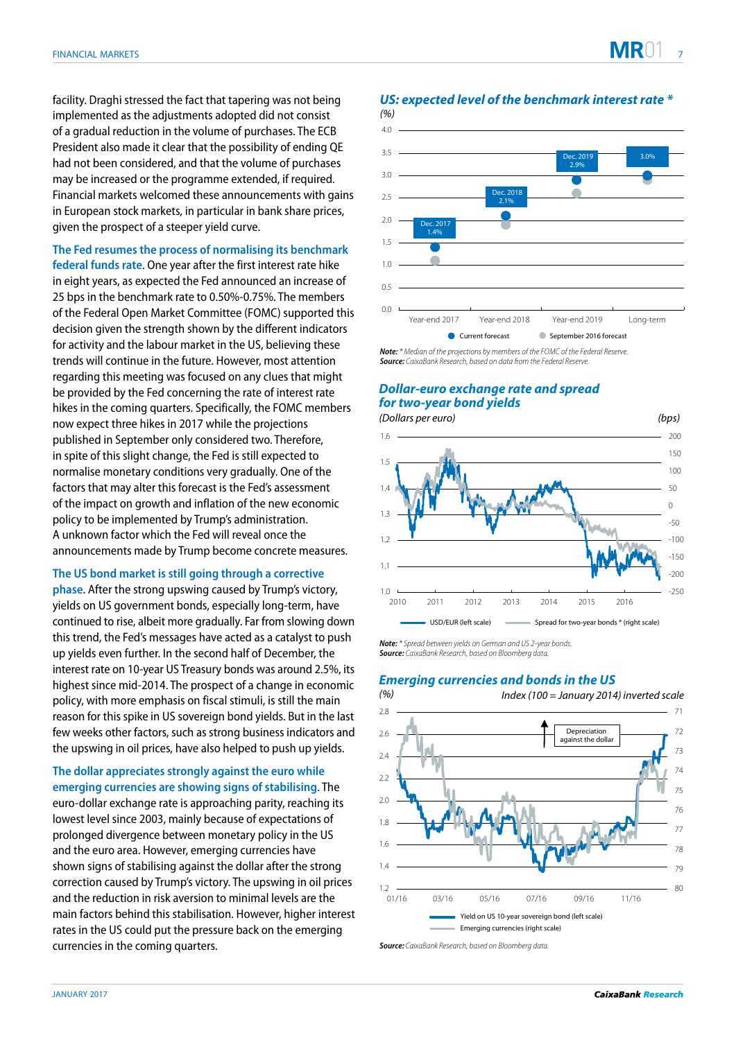facility. Draghi stressed the fact that tapering was not being implemented as the adjustments adopted did not consist of a gradual reduction in the volume of purchases. The ECB President also made it clear that the possibility of ending QE had not been considered, and that the volume of purchases may be increased or the programme extended, if required. Financial markets welcomed these announcements with gains in European stock markets, in particular in bank share prices, given the prospect of a steeper yield curve.

**The Fed resumes the process of normalising its benchmark federal funds rate**. One year after the first interest rate hike in eight years, as expected the Fed announced an increase of 25 bps in the benchmark rate to 0.50%-0.75%. The members of the Federal Open Market Committee (FOMC) supported this decision given the strength shown by the different indicators for activity and the labour market in the US, believing these trends will continue in the future. However, most attention regarding this meeting was focused on any clues that might be provided by the Fed concerning the rate of interest rate hikes in the coming quarters. Specifically, the FOMC members now expect three hikes in 2017 while the projections published in September only considered two. Therefore, in spite of this slight change, the Fed is still expected to normalise monetary conditions very gradually. One of the factors that may alter this forecast is the Fed's assessment of the impact on growth and inflation of the new economic policy to be implemented by Trump's administration. A unknown factor which the Fed will reveal once the announcements made by Trump become concrete measures.

**The US bond market is still going through a corrective** 

**phase**. After the strong upswing caused by Trump's victory, yields on US government bonds, especially long-term, have continued to rise, albeit more gradually. Far from slowing down this trend, the Fed's messages have acted as a catalyst to push up yields even further. In the second half of December, the interest rate on 10-year US Treasury bonds was around 2.5%, its highest since mid-2014. The prospect of a change in economic policy, with more emphasis on fiscal stimuli, is still the main reason for this spike in US sovereign bond yields. But in the last few weeks other factors, such as strong business indicators and the upswing in oil prices, have also helped to push up yields.

**The dollar appreciates strongly against the euro while emerging currencies are showing signs of stabilising**. The euro-dollar exchange rate is approaching parity, reaching its lowest level since 2003, mainly because of expectations of prolonged divergence between monetary policy in the US and the euro area. However, emerging currencies have shown signs of stabilising against the dollar after the strong correction caused by Trump's victory. The upswing in oil prices and the reduction in risk aversion to minimal levels are the main factors behind this stabilisation. However, higher interest rates in the US could put the pressure back on the emerging currencies in the coming quarters.



**US: expected level of the benchmark interest rate \***

*Not***e***: \* M*edian of the projections by members of the FOMC of the Federal Reserve. **Source***: CaixaBank Research,* based on data from the Federal Reserve.

# *Dollar-euro exchange rate and spread for two-year bond yields*



*Not***e***:\** Spread between yields on German and US 2-year bonds. **Source***: CaixaBank Research,* based on Bloomberg data.

### *Emerging currencies and bonds in the US*



**Source***: CaixaBank Research,* based on Bloomberg data.